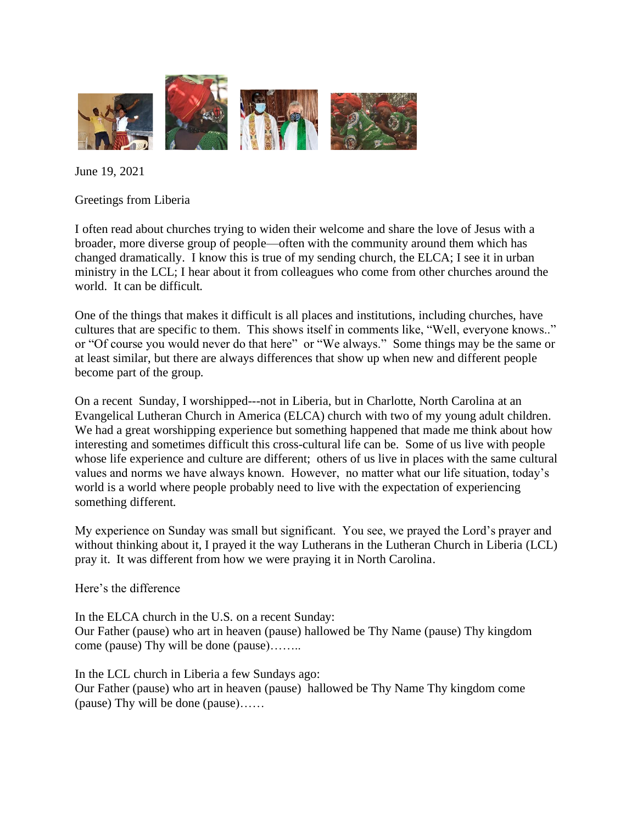

June 19, 2021

Greetings from Liberia

I often read about churches trying to widen their welcome and share the love of Jesus with a broader, more diverse group of people—often with the community around them which has changed dramatically. I know this is true of my sending church, the ELCA; I see it in urban ministry in the LCL; I hear about it from colleagues who come from other churches around the world. It can be difficult.

One of the things that makes it difficult is all places and institutions, including churches, have cultures that are specific to them. This shows itself in comments like, "Well, everyone knows.." or "Of course you would never do that here" or "We always." Some things may be the same or at least similar, but there are always differences that show up when new and different people become part of the group.

On a recent Sunday, I worshipped---not in Liberia, but in Charlotte, North Carolina at an Evangelical Lutheran Church in America (ELCA) church with two of my young adult children. We had a great worshipping experience but something happened that made me think about how interesting and sometimes difficult this cross-cultural life can be. Some of us live with people whose life experience and culture are different; others of us live in places with the same cultural values and norms we have always known. However, no matter what our life situation, today's world is a world where people probably need to live with the expectation of experiencing something different.

My experience on Sunday was small but significant. You see, we prayed the Lord's prayer and without thinking about it, I prayed it the way Lutherans in the Lutheran Church in Liberia (LCL) pray it. It was different from how we were praying it in North Carolina.

Here's the difference

In the ELCA church in the U.S. on a recent Sunday: Our Father (pause) who art in heaven (pause) hallowed be Thy Name (pause) Thy kingdom come (pause) Thy will be done (pause)……..

In the LCL church in Liberia a few Sundays ago: Our Father (pause) who art in heaven (pause) hallowed be Thy Name Thy kingdom come (pause) Thy will be done (pause)……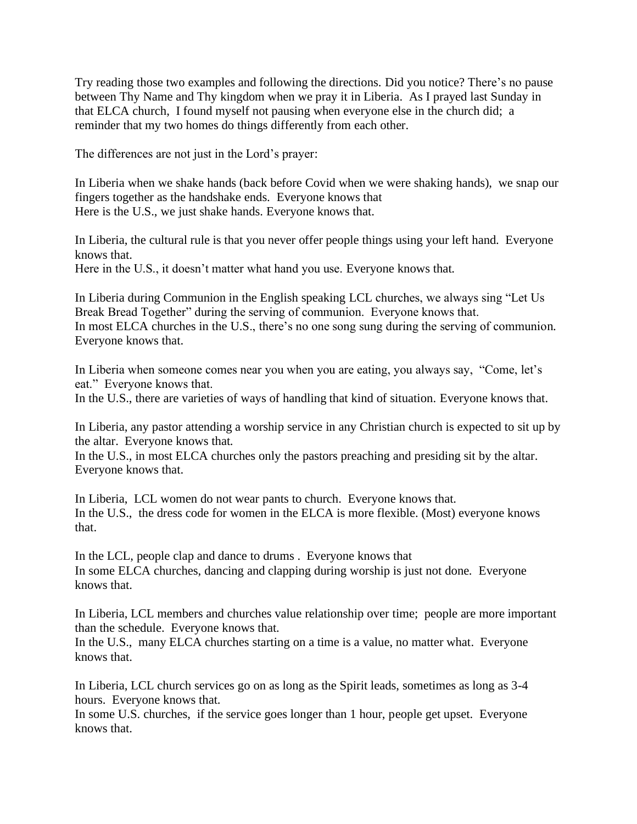Try reading those two examples and following the directions. Did you notice? There's no pause between Thy Name and Thy kingdom when we pray it in Liberia. As I prayed last Sunday in that ELCA church, I found myself not pausing when everyone else in the church did; a reminder that my two homes do things differently from each other.

The differences are not just in the Lord's prayer:

In Liberia when we shake hands (back before Covid when we were shaking hands), we snap our fingers together as the handshake ends. Everyone knows that Here is the U.S., we just shake hands. Everyone knows that.

In Liberia, the cultural rule is that you never offer people things using your left hand. Everyone knows that.

Here in the U.S., it doesn't matter what hand you use. Everyone knows that.

In Liberia during Communion in the English speaking LCL churches, we always sing "Let Us Break Bread Together" during the serving of communion. Everyone knows that. In most ELCA churches in the U.S., there's no one song sung during the serving of communion. Everyone knows that.

In Liberia when someone comes near you when you are eating, you always say, "Come, let's eat." Everyone knows that.

In the U.S., there are varieties of ways of handling that kind of situation. Everyone knows that.

In Liberia, any pastor attending a worship service in any Christian church is expected to sit up by the altar. Everyone knows that.

In the U.S., in most ELCA churches only the pastors preaching and presiding sit by the altar. Everyone knows that.

In Liberia, LCL women do not wear pants to church. Everyone knows that. In the U.S., the dress code for women in the ELCA is more flexible. (Most) everyone knows that.

In the LCL, people clap and dance to drums . Everyone knows that In some ELCA churches, dancing and clapping during worship is just not done. Everyone knows that.

In Liberia, LCL members and churches value relationship over time; people are more important than the schedule. Everyone knows that.

In the U.S., many ELCA churches starting on a time is a value, no matter what. Everyone knows that.

In Liberia, LCL church services go on as long as the Spirit leads, sometimes as long as 3-4 hours. Everyone knows that.

In some U.S. churches, if the service goes longer than 1 hour, people get upset. Everyone knows that.